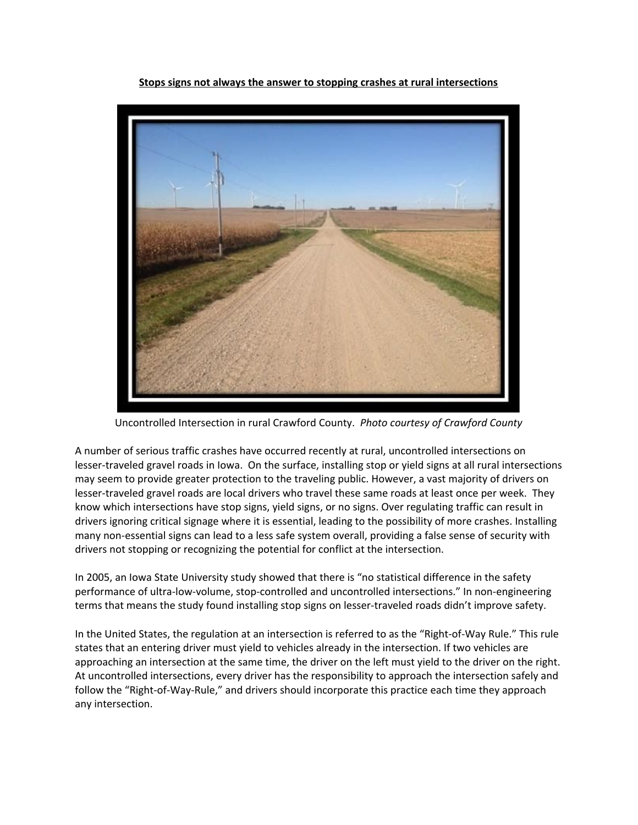**Stops signs not always the answer to stopping crashes at rural intersections**



Uncontrolled Intersection in rural Crawford County. *Photo courtesy of Crawford County*

A number of serious traffic crashes have occurred recently at rural, uncontrolled intersections on lesser-traveled gravel roads in Iowa. On the surface, installing stop or yield signs at all rural intersections may seem to provide greater protection to the traveling public. However, a vast majority of drivers on lesser-traveled gravel roads are local drivers who travel these same roads at least once per week. They know which intersections have stop signs, yield signs, or no signs. Over regulating traffic can result in drivers ignoring critical signage where it is essential, leading to the possibility of more crashes. Installing many non-essential signs can lead to a less safe system overall, providing a false sense of security with drivers not stopping or recognizing the potential for conflict at the intersection.

In 2005, an Iowa State University study showed that there is "no statistical difference in the safety performance of ultra-low-volume, stop-controlled and uncontrolled intersections." In non-engineering terms that means the study found installing stop signs on lesser-traveled roads didn't improve safety.

In the United States, the regulation at an intersection is referred to as the "Right-of-Way Rule." This rule states that an entering driver must yield to vehicles already in the intersection. If two vehicles are approaching an intersection at the same time, the driver on the left must yield to the driver on the right. At uncontrolled intersections, every driver has the responsibility to approach the intersection safely and follow the "Right-of-Way-Rule," and drivers should incorporate this practice each time they approach any intersection.